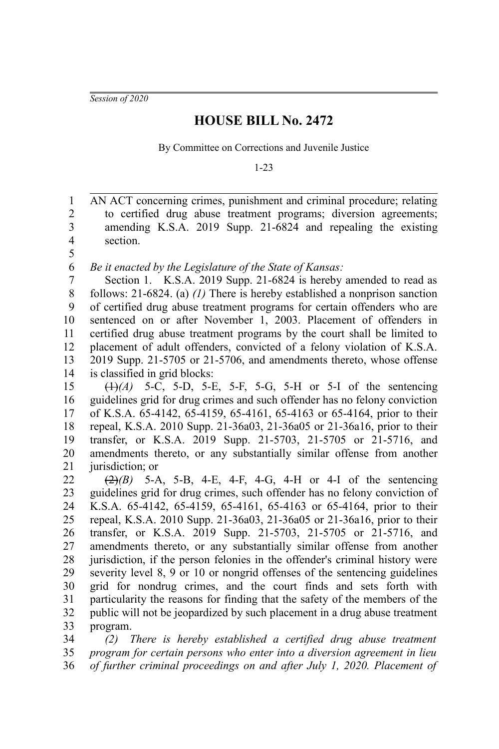*Session of 2020*

## **HOUSE BILL No. 2472**

By Committee on Corrections and Juvenile Justice

1-23

AN ACT concerning crimes, punishment and criminal procedure; relating to certified drug abuse treatment programs; diversion agreements; amending K.S.A. 2019 Supp. 21-6824 and repealing the existing section. 1 2 3 4 5

*Be it enacted by the Legislature of the State of Kansas:* 6

Section 1. K.S.A. 2019 Supp. 21-6824 is hereby amended to read as follows: 21-6824. (a) *(1)* There is hereby established a nonprison sanction of certified drug abuse treatment programs for certain offenders who are sentenced on or after November 1, 2003. Placement of offenders in certified drug abuse treatment programs by the court shall be limited to placement of adult offenders, convicted of a felony violation of K.S.A. 2019 Supp. 21-5705 or 21-5706, and amendments thereto, whose offense is classified in grid blocks: 7 8 9 10 11 12 13 14

(1)*(A)* 5-C, 5-D, 5-E, 5-F, 5-G, 5-H or 5-I of the sentencing guidelines grid for drug crimes and such offender has no felony conviction of K.S.A. 65-4142, 65-4159, 65-4161, 65-4163 or 65-4164, prior to their repeal, K.S.A. 2010 Supp. 21-36a03, 21-36a05 or 21-36a16, prior to their transfer, or K.S.A. 2019 Supp. 21-5703, 21-5705 or 21-5716, and amendments thereto, or any substantially similar offense from another jurisdiction; or 15 16 17 18 19 20 21

(2)*(B)* 5-A, 5-B, 4-E, 4-F, 4-G, 4-H or 4-I of the sentencing guidelines grid for drug crimes, such offender has no felony conviction of K.S.A. 65-4142, 65-4159, 65-4161, 65-4163 or 65-4164, prior to their repeal, K.S.A. 2010 Supp. 21-36a03, 21-36a05 or 21-36a16, prior to their transfer, or K.S.A. 2019 Supp. 21-5703, 21-5705 or 21-5716, and amendments thereto, or any substantially similar offense from another jurisdiction, if the person felonies in the offender's criminal history were severity level 8, 9 or 10 or nongrid offenses of the sentencing guidelines grid for nondrug crimes, and the court finds and sets forth with particularity the reasons for finding that the safety of the members of the public will not be jeopardized by such placement in a drug abuse treatment program. 22 23 24 25 26 27 28 29 30 31 32 33

*(2) There is hereby established a certified drug abuse treatment program for certain persons who enter into a diversion agreement in lieu of further criminal proceedings on and after July 1, 2020. Placement of* 34 35 36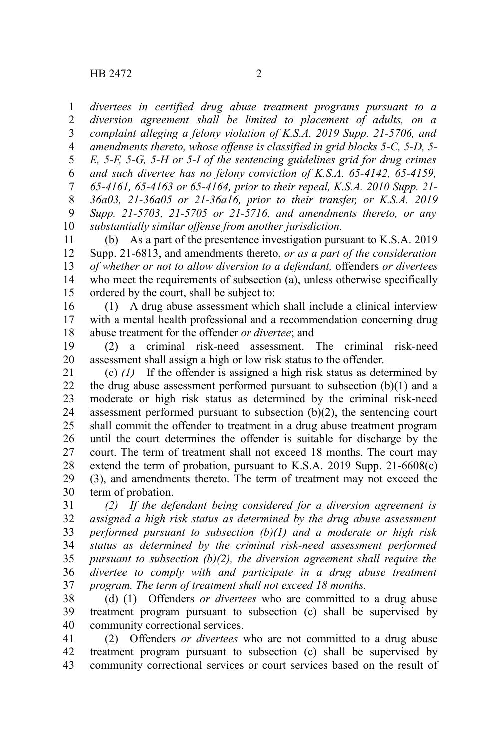*divertees in certified drug abuse treatment programs pursuant to a diversion agreement shall be limited to placement of adults, on a complaint alleging a felony violation of K.S.A. 2019 Supp. 21-5706, and amendments thereto, whose offense is classified in grid blocks 5-C, 5-D, 5- E, 5-F, 5-G, 5-H or 5-I of the sentencing guidelines grid for drug crimes and such divertee has no felony conviction of K.S.A. 65-4142, 65-4159, 65-4161, 65-4163 or 65-4164, prior to their repeal, K.S.A. 2010 Supp. 21- 36a03, 21-36a05 or 21-36a16, prior to their transfer, or K.S.A. 2019 Supp. 21-5703, 21-5705 or 21-5716, and amendments thereto, or any substantially similar offense from another jurisdiction.* 1 2 3 4 5 6 7 8 9 10

(b) As a part of the presentence investigation pursuant to K.S.A. 2019 Supp. 21-6813, and amendments thereto, *or as a part of the consideration of whether or not to allow diversion to a defendant,* offenders *or divertees* who meet the requirements of subsection (a), unless otherwise specifically ordered by the court, shall be subject to: 11 12 13 14 15

(1) A drug abuse assessment which shall include a clinical interview with a mental health professional and a recommendation concerning drug abuse treatment for the offender *or divertee*; and 16 17 18

(2) a criminal risk-need assessment. The criminal risk-need assessment shall assign a high or low risk status to the offender. 19 20

(c) *(1)* If the offender is assigned a high risk status as determined by the drug abuse assessment performed pursuant to subsection (b)(1) and a moderate or high risk status as determined by the criminal risk-need assessment performed pursuant to subsection (b)(2), the sentencing court shall commit the offender to treatment in a drug abuse treatment program until the court determines the offender is suitable for discharge by the court. The term of treatment shall not exceed 18 months. The court may extend the term of probation, pursuant to K.S.A. 2019 Supp. 21-6608(c) (3), and amendments thereto. The term of treatment may not exceed the term of probation. 21 22 23 24 25 26 27 28 29 30

*(2) If the defendant being considered for a diversion agreement is assigned a high risk status as determined by the drug abuse assessment performed pursuant to subsection (b)(1) and a moderate or high risk status as determined by the criminal risk-need assessment performed pursuant to subsection (b)(2), the diversion agreement shall require the divertee to comply with and participate in a drug abuse treatment program. The term of treatment shall not exceed 18 months.* 31 32 33 34 35 36 37

(d) (1) Offenders *or divertees* who are committed to a drug abuse treatment program pursuant to subsection (c) shall be supervised by community correctional services. 38 39 40

(2) Offenders *or divertees* who are not committed to a drug abuse treatment program pursuant to subsection (c) shall be supervised by community correctional services or court services based on the result of 41 42 43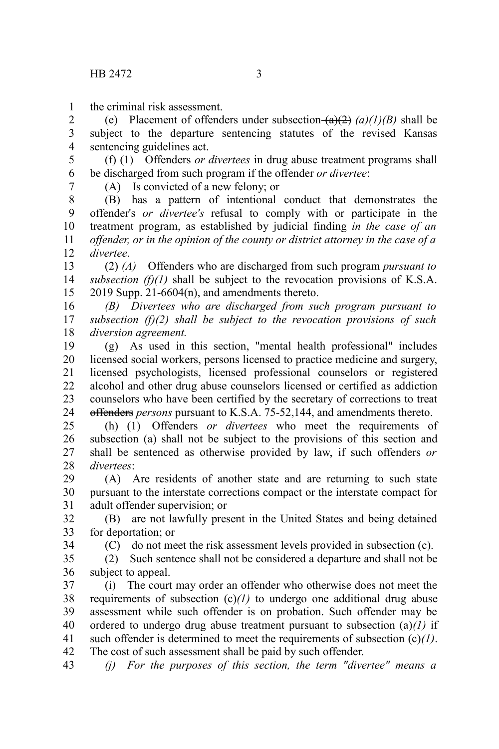the criminal risk assessment. 1

(e) Placement of offenders under subsection  $(a)(2)$   $(a)(1)(B)$  shall be subject to the departure sentencing statutes of the revised Kansas sentencing guidelines act. 2 3 4

(f) (1) Offenders *or divertees* in drug abuse treatment programs shall be discharged from such program if the offender *or divertee*: 5 6

7

(A) Is convicted of a new felony; or

(B) has a pattern of intentional conduct that demonstrates the offender's *or divertee's* refusal to comply with or participate in the treatment program, as established by judicial finding *in the case of an offender, or in the opinion of the county or district attorney in the case of a divertee*. 8 9 10 11 12

(2) *(A)* Offenders who are discharged from such program *pursuant to subsection (f)(1)* shall be subject to the revocation provisions of K.S.A. 2019 Supp. 21-6604(n), and amendments thereto. 13 14 15

*(B) Divertees who are discharged from such program pursuant to subsection (f)(2) shall be subject to the revocation provisions of such diversion agreement.* 16 17 18

(g) As used in this section, "mental health professional" includes licensed social workers, persons licensed to practice medicine and surgery, licensed psychologists, licensed professional counselors or registered alcohol and other drug abuse counselors licensed or certified as addiction counselors who have been certified by the secretary of corrections to treat offenders *persons* pursuant to K.S.A. 75-52,144, and amendments thereto. 19 20 21 22 23 24

(h) (1) Offenders *or divertees* who meet the requirements of subsection (a) shall not be subject to the provisions of this section and shall be sentenced as otherwise provided by law, if such offenders *or divertees*: 25 26 27 28

(A) Are residents of another state and are returning to such state pursuant to the interstate corrections compact or the interstate compact for adult offender supervision; or 29 30 31

(B) are not lawfully present in the United States and being detained for deportation; or 32 33

34

(C) do not meet the risk assessment levels provided in subsection (c).

(2) Such sentence shall not be considered a departure and shall not be subject to appeal. 35 36

(i) The court may order an offender who otherwise does not meet the requirements of subsection  $(c)/l$  to undergo one additional drug abuse assessment while such offender is on probation. Such offender may be ordered to undergo drug abuse treatment pursuant to subsection (a)*(1)* if such offender is determined to meet the requirements of subsection (c)*(1)*. The cost of such assessment shall be paid by such offender. 37 38 39 40 41 42

*(j) For the purposes of this section, the term "divertee" means a* 43